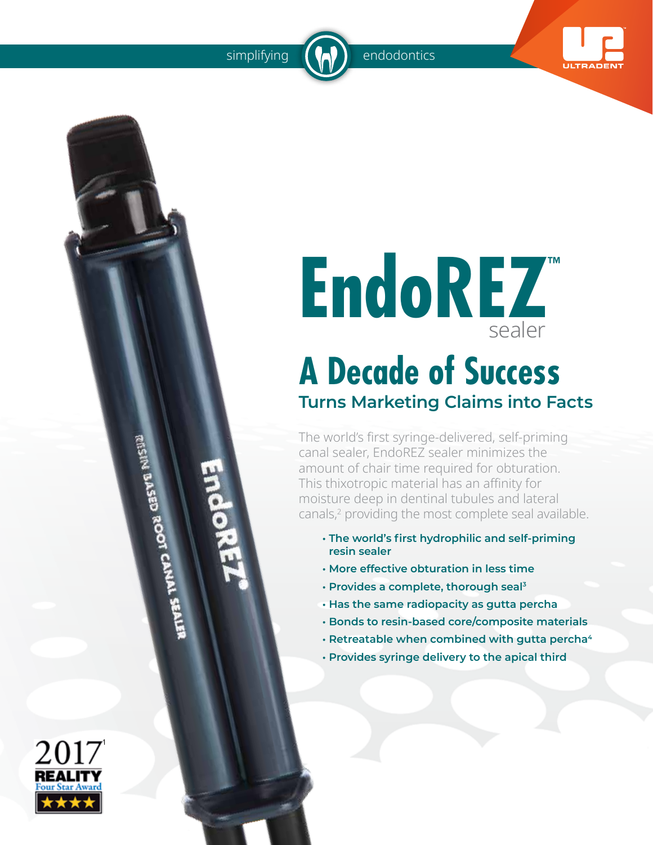

# **EndoREZ™** sealer

### **A Decade of Success Turns Marketing Claims into Facts**

The world's first syringe-delivered, self-priming canal sealer, EndoREZ sealer minimizes the amount of chair time required for obturation. This thixotropic material has an affinity for moisture deep in dentinal tubules and lateral canals,<sup>2</sup> providing the most complete seal available.

- **• The world's first hydrophilic and self-priming resin sealer**
- **More effective obturation in less time**
- **Provides a complete, thorough seal<sup>3</sup>**
- **Has the same radiopacity as gutta percha**
- **Bonds to resin-based core/composite materials**
- **Retreatable when combined with gutta percha<sup>4</sup>**
- **Provides syringe delivery to the apical third**



EISIM D'ASED ROOT CANAL SEALER